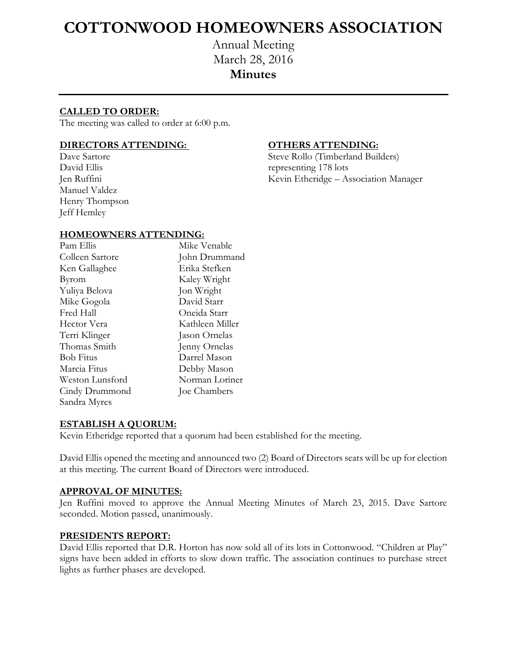# **COTTONWOOD HOMEOWNERS ASSOCIATION**

Annual Meeting March 28, 2016 **Minutes**

# **CALLED TO ORDER:**

The meeting was called to order at 6:00 p.m.

# **DIRECTORS ATTENDING: OTHERS ATTENDING:**

Manuel Valdez Henry Thompson Jeff Hemley

Dave Sartore Steve Rollo (Timberland Builders) David Ellis representing 178 lots Jen Ruffini Kevin Etheridge – Association Manager

### **HOMEOWNERS ATTENDING:**

| Pam Ellis        | Mike Venable    |
|------------------|-----------------|
| Colleen Sartore  | John Drummand   |
| Ken Gallaghee    | Erika Stefken   |
| Byrom            | Kaley Wright    |
| Yuliya Belova    | Jon Wright      |
| Mike Gogola      | David Starr     |
| Fred Hall        | Oneida Starr    |
| Hector Vera      | Kathleen Miller |
| Terri Klinger    | Jason Ornelas   |
| Thomas Smith     | Jenny Ornelas   |
| <b>Bob Fitus</b> | Darrel Mason    |
| Marcia Fitus     | Debby Mason     |
| Weston Lunsford  | Norman Loriner  |
| Cindy Drummond   | Joe Chambers    |
| Sandra Myres     |                 |

#### **ESTABLISH A QUORUM:**

Kevin Etheridge reported that a quorum had been established for the meeting.

David Ellis opened the meeting and announced two (2) Board of Directors seats will be up for election at this meeting. The current Board of Directors were introduced.

#### **APPROVAL OF MINUTES:**

Jen Ruffini moved to approve the Annual Meeting Minutes of March 23, 2015. Dave Sartore seconded. Motion passed, unanimously.

#### **PRESIDENTS REPORT:**

David Ellis reported that D.R. Horton has now sold all of its lots in Cottonwood. "Children at Play" signs have been added in efforts to slow down traffic. The association continues to purchase street lights as further phases are developed.